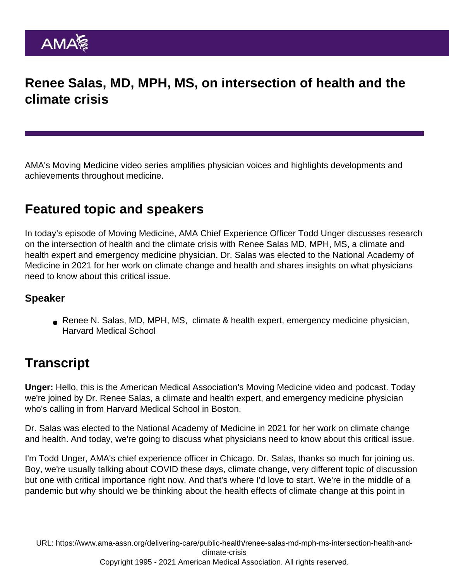# Renee Salas, MD, MPH, MS, on intersection of health and the climate crisis

AMA's Moving Medicine video series amplifies physician voices and highlights developments and achievements throughout medicine.

## Featured topic and speakers

In today's episode of Moving Medicine, AMA Chief Experience Officer Todd Unger discusses research on the intersection of health and the climate crisis with Renee Salas MD, MPH, MS, a climate and health expert and emergency medicine physician. Dr. Salas was elected to the National Academy of Medicine in 2021 for her work on climate change and health and shares insights on what physicians need to know about this critical issue.

### Speaker

Renee N. Salas, MD, MPH, MS, climate & health expert, emergency medicine physician, Harvard Medical School

## **Transcript**

Unger: Hello, this is the American Medical Association's Moving Medicine video and podcast. Today we're joined by Dr. Renee Salas, a climate and health expert, and emergency medicine physician who's calling in from Harvard Medical School in Boston.

Dr. Salas was elected to the National Academy of Medicine in 2021 for her work on climate change and health. And today, we're going to discuss what physicians need to know about this critical issue.

I'm Todd Unger, AMA's chief experience officer in Chicago. Dr. Salas, thanks so much for joining us. Boy, we're usually talking about COVID these days, climate change, very different topic of discussion but one with critical importance right now. And that's where I'd love to start. We're in the middle of a pandemic but why should we be thinking about the health effects of climate change at this point in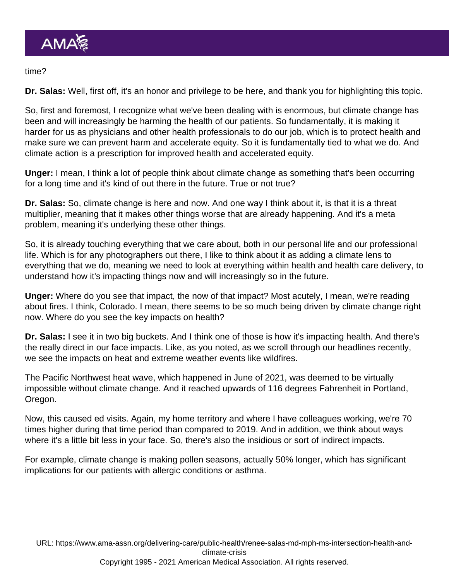#### time?

Dr. Salas: Well, first off, it's an honor and privilege to be here, and thank you for highlighting this topic.

So, first and foremost, I recognize what we've been dealing with is enormous, but climate change has been and will increasingly be harming the health of our patients. So fundamentally, it is making it harder for us as physicians and other health professionals to do our job, which is to protect health and make sure we can prevent harm and accelerate equity. So it is fundamentally tied to what we do. And climate action is a prescription for improved health and accelerated equity.

Unger: I mean, I think a lot of people think about climate change as something that's been occurring for a long time and it's kind of out there in the future. True or not true?

Dr. Salas: So, climate change is here and now. And one way I think about it, is that it is a threat multiplier, meaning that it makes other things worse that are already happening. And it's a meta problem, meaning it's underlying these other things.

So, it is already touching everything that we care about, both in our personal life and our professional life. Which is for any photographers out there, I like to think about it as adding a climate lens to everything that we do, meaning we need to look at everything within health and health care delivery, to understand how it's impacting things now and will increasingly so in the future.

Unger: Where do you see that impact, the now of that impact? Most acutely, I mean, we're reading about fires. I think, Colorado. I mean, there seems to be so much being driven by climate change right now. Where do you see the key impacts on health?

Dr. Salas: I see it in two big buckets. And I think one of those is how it's impacting health. And there's the really direct in our face impacts. Like, as you noted, as we scroll through our headlines recently, we see the impacts on heat and extreme weather events like wildfires.

The Pacific Northwest heat wave, which happened in June of 2021, was deemed to be virtually impossible without climate change. And it reached upwards of 116 degrees Fahrenheit in Portland, Oregon.

Now, this caused ed visits. Again, my home territory and where I have colleagues working, we're 70 times higher during that time period than compared to 2019. And in addition, we think about ways where it's a little bit less in your face. So, there's also the insidious or sort of indirect impacts.

For example, climate change is making pollen seasons, actually 50% longer, which has significant implications for our patients with allergic conditions or asthma.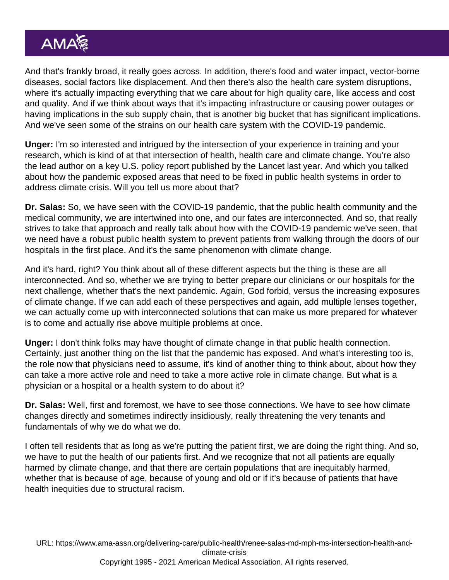And that's frankly broad, it really goes across. In addition, there's food and water impact, vector-borne diseases, social factors like displacement. And then there's also the health care system disruptions, where it's actually impacting everything that we care about for high quality care, like access and cost and quality. And if we think about ways that it's impacting infrastructure or causing power outages or having implications in the sub supply chain, that is another big bucket that has significant implications. And we've seen some of the strains on our health care system with the COVID-19 pandemic.

Unger: I'm so interested and intrigued by the intersection of your experience in training and your research, which is kind of at that intersection of health, health care and climate change. You're also the lead author on a key U.S. policy report published by the Lancet last year. And which you talked about how the pandemic exposed areas that need to be fixed in public health systems in order to address climate crisis. Will you tell us more about that?

Dr. Salas: So, we have seen with the COVID-19 pandemic, that the public health community and the medical community, we are intertwined into one, and our fates are interconnected. And so, that really strives to take that approach and really talk about how with the COVID-19 pandemic we've seen, that we need have a robust public health system to prevent patients from walking through the doors of our hospitals in the first place. And it's the same phenomenon with climate change.

And it's hard, right? You think about all of these different aspects but the thing is these are all interconnected. And so, whether we are trying to better prepare our clinicians or our hospitals for the next challenge, whether that's the next pandemic. Again, God forbid, versus the increasing exposures of climate change. If we can add each of these perspectives and again, add multiple lenses together, we can actually come up with interconnected solutions that can make us more prepared for whatever is to come and actually rise above multiple problems at once.

Unger: I don't think folks may have thought of climate change in that public health connection. Certainly, just another thing on the list that the pandemic has exposed. And what's interesting too is, the role now that physicians need to assume, it's kind of another thing to think about, about how they can take a more active role and need to take a more active role in climate change. But what is a physician or a hospital or a health system to do about it?

Dr. Salas: Well, first and foremost, we have to see those connections. We have to see how climate changes directly and sometimes indirectly insidiously, really threatening the very tenants and fundamentals of why we do what we do.

I often tell residents that as long as we're putting the patient first, we are doing the right thing. And so, we have to put the health of our patients first. And we recognize that not all patients are equally harmed by climate change, and that there are certain populations that are inequitably harmed, whether that is because of age, because of young and old or if it's because of patients that have health inequities due to structural racism.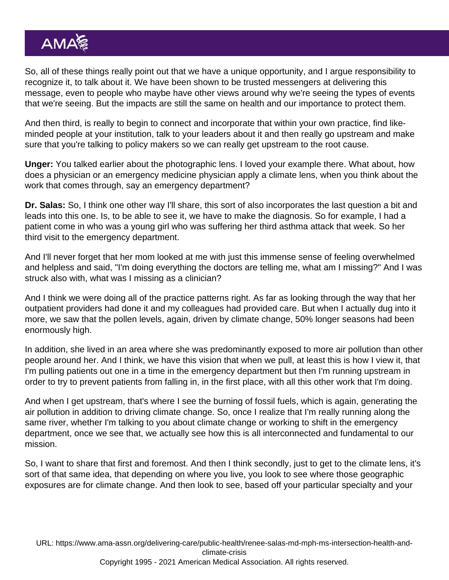So, all of these things really point out that we have a unique opportunity, and I argue responsibility to recognize it, to talk about it. We have been shown to be trusted messengers at delivering this message, even to people who maybe have other views around why we're seeing the types of events that we're seeing. But the impacts are still the same on health and our importance to protect them.

And then third, is really to begin to connect and incorporate that within your own practice, find likeminded people at your institution, talk to your leaders about it and then really go upstream and make sure that you're talking to policy makers so we can really get upstream to the root cause.

Unger: You talked earlier about the photographic lens. I loved your example there. What about, how does a physician or an emergency medicine physician apply a climate lens, when you think about the work that comes through, say an emergency department?

Dr. Salas: So, I think one other way I'll share, this sort of also incorporates the last question a bit and leads into this one. Is, to be able to see it, we have to make the diagnosis. So for example, I had a patient come in who was a young girl who was suffering her third asthma attack that week. So her third visit to the emergency department.

And I'll never forget that her mom looked at me with just this immense sense of feeling overwhelmed and helpless and said, "I'm doing everything the doctors are telling me, what am I missing?" And I was struck also with, what was I missing as a clinician?

And I think we were doing all of the practice patterns right. As far as looking through the way that her outpatient providers had done it and my colleagues had provided care. But when I actually dug into it more, we saw that the pollen levels, again, driven by climate change, 50% longer seasons had been enormously high.

In addition, she lived in an area where she was predominantly exposed to more air pollution than other people around her. And I think, we have this vision that when we pull, at least this is how I view it, that I'm pulling patients out one in a time in the emergency department but then I'm running upstream in order to try to prevent patients from falling in, in the first place, with all this other work that I'm doing.

And when I get upstream, that's where I see the burning of fossil fuels, which is again, generating the air pollution in addition to driving climate change. So, once I realize that I'm really running along the same river, whether I'm talking to you about climate change or working to shift in the emergency department, once we see that, we actually see how this is all interconnected and fundamental to our mission.

So, I want to share that first and foremost. And then I think secondly, just to get to the climate lens, it's sort of that same idea, that depending on where you live, you look to see where those geographic exposures are for climate change. And then look to see, based off your particular specialty and your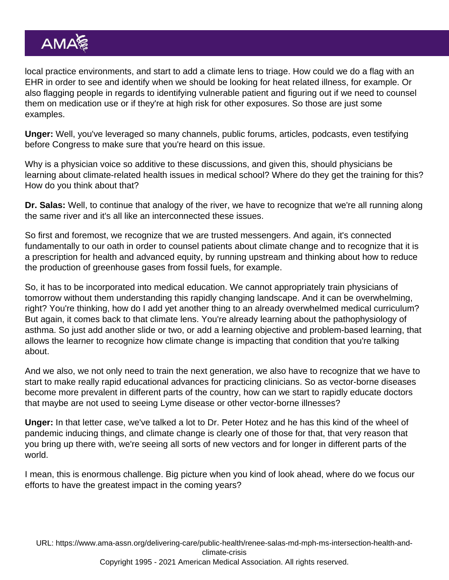local practice environments, and start to add a climate lens to triage. How could we do a flag with an EHR in order to see and identify when we should be looking for heat related illness, for example. Or also flagging people in regards to identifying vulnerable patient and figuring out if we need to counsel them on medication use or if they're at high risk for other exposures. So those are just some examples.

Unger: Well, you've leveraged so many channels, public forums, articles, podcasts, even testifying before Congress to make sure that you're heard on this issue.

Why is a physician voice so additive to these discussions, and given this, should physicians be learning about climate-related health issues in medical school? Where do they get the training for this? How do you think about that?

Dr. Salas: Well, to continue that analogy of the river, we have to recognize that we're all running along the same river and it's all like an interconnected these issues.

So first and foremost, we recognize that we are trusted messengers. And again, it's connected fundamentally to our oath in order to counsel patients about climate change and to recognize that it is a prescription for health and advanced equity, by running upstream and thinking about how to reduce the production of greenhouse gases from fossil fuels, for example.

So, it has to be incorporated into medical education. We cannot appropriately train physicians of tomorrow without them understanding this rapidly changing landscape. And it can be overwhelming, right? You're thinking, how do I add yet another thing to an already overwhelmed medical curriculum? But again, it comes back to that climate lens. You're already learning about the pathophysiology of asthma. So just add another slide or two, or add a learning objective and problem-based learning, that allows the learner to recognize how climate change is impacting that condition that you're talking about.

And we also, we not only need to train the next generation, we also have to recognize that we have to start to make really rapid educational advances for practicing clinicians. So as vector-borne diseases become more prevalent in different parts of the country, how can we start to rapidly educate doctors that maybe are not used to seeing Lyme disease or other vector-borne illnesses?

Unger: In that letter case, we've talked a lot to Dr. Peter Hotez and he has this kind of the wheel of pandemic inducing things, and climate change is clearly one of those for that, that very reason that you bring up there with, we're seeing all sorts of new vectors and for longer in different parts of the world.

I mean, this is enormous challenge. Big picture when you kind of look ahead, where do we focus our efforts to have the greatest impact in the coming years?

URL: [https://www.ama-assn.org/delivering-care/public-health/renee-salas-md-mph-ms-intersection-health-and](https://www.ama-assn.org/delivering-care/public-health/renee-salas-md-mph-ms-intersection-health-and-climate-crisis)[climate-crisis](https://www.ama-assn.org/delivering-care/public-health/renee-salas-md-mph-ms-intersection-health-and-climate-crisis)